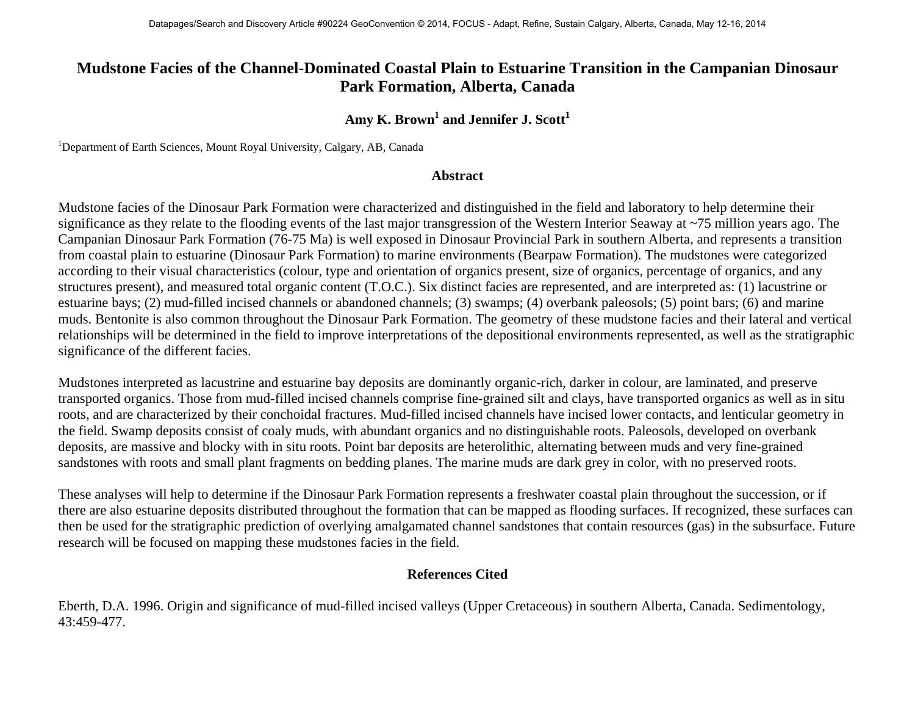## **Mudstone Facies of the Channel-Dominated Coastal Plain to Estuarine Transition in the Campanian Dinosaur Park Formation, Alberta, Canada**

## Amy K. Brown<sup>1</sup> and Jennifer J. Scott<sup>1</sup>

<sup>1</sup>Department of Earth Sciences, Mount Royal University, Calgary, AB, Canada

## **Abstract**

Mudstone facies of the Dinosaur Park Formation were characterized and distinguished in the field and laboratory to help determine their significance as they relate to the flooding events of the last major transgression of the Western Interior Seaway at ~75 million years ago. The Campanian Dinosaur Park Formation (76-75 Ma) is well exposed in Dinosaur Provincial Park in southern Alberta, and represents a transition from coastal plain to estuarine (Dinosaur Park Formation) to marine environments (Bearpaw Formation). The mudstones were categorized according to their visual characteristics (colour, type and orientation of organics present, size of organics, percentage of organics, and any structures present), and measured total organic content (T.O.C.). Six distinct facies are represented, and are interpreted as: (1) lacustrine or estuarine bays; (2) mud-filled incised channels or abandoned channels; (3) swamps; (4) overbank paleosols; (5) point bars; (6) and marine muds. Bentonite is also common throughout the Dinosaur Park Formation. The geometry of these mudstone facies and their lateral and vertical relationships will be determined in the field to improve interpretations of the depositional environments represented, as well as the stratigraphic significance of the different facies.

Mudstones interpreted as lacustrine and estuarine bay deposits are dominantly organic-rich, darker in colour, are laminated, and preserve transported organics. Those from mud-filled incised channels comprise fine-grained silt and clays, have transported organics as well as in situ roots, and are characterized by their conchoidal fractures. Mud-filled incised channels have incised lower contacts, and lenticular geometry in the field. Swamp deposits consist of coaly muds, with abundant organics and no distinguishable roots. Paleosols, developed on overbank deposits, are massive and blocky with in situ roots. Point bar deposits are heterolithic, alternating between muds and very fine-grained sandstones with roots and small plant fragments on bedding planes. The marine muds are dark grey in color, with no preserved roots.

These analyses will help to determine if the Dinosaur Park Formation represents a freshwater coastal plain throughout the succession, or if there are also estuarine deposits distributed throughout the formation that can be mapped as flooding surfaces. If recognized, these surfaces can then be used for the stratigraphic prediction of overlying amalgamated channel sandstones that contain resources (gas) in the subsurface. Future research will be focused on mapping these mudstones facies in the field.

## **References Cited**

Eberth, D.A. 1996. Origin and significance of mud-filled incised valleys (Upper Cretaceous) in southern Alberta, Canada. Sedimentology, 43:459-477.